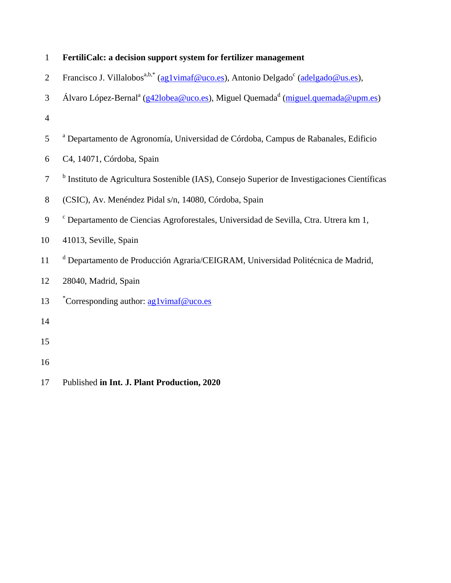| $\mathbf{1}$   | FertiliCalc: a decision support system for fertilizer management                                           |
|----------------|------------------------------------------------------------------------------------------------------------|
| $\overline{2}$ | Francisco J. Villalobos <sup>a,b,*</sup> (ag1vimaf@uco.es), Antonio Delgado <sup>c</sup> (adelgado@us.es), |
| 3              | Álvaro López-Bernal <sup>a</sup> (g42lobea@uco.es), Miguel Quemada <sup>d</sup> (miguel.quemada@upm.es)    |
| $\overline{4}$ |                                                                                                            |
| 5              | <sup>a</sup> Departamento de Agronomía, Universidad de Córdoba, Campus de Rabanales, Edificio              |
| 6              | C4, 14071, Córdoba, Spain                                                                                  |
| $\tau$         | <sup>b</sup> Instituto de Agricultura Sostenible (IAS), Consejo Superior de Investigaciones Científicas    |
| 8              | (CSIC), Av. Menéndez Pidal s/n, 14080, Córdoba, Spain                                                      |
| 9              | <sup>c</sup> Departamento de Ciencias Agroforestales, Universidad de Sevilla, Ctra. Utrera km 1,           |
| 10             | 41013, Seville, Spain                                                                                      |
| 11             | <sup>d</sup> Departamento de Producción Agraria/CEIGRAM, Universidad Politécnica de Madrid,                |
| 12             | 28040, Madrid, Spain                                                                                       |
| 13             | *Corresponding author: aglvimaf@uco.es                                                                     |
| 14             |                                                                                                            |
| 15             |                                                                                                            |
| 16             |                                                                                                            |
| 17             | Published in Int. J. Plant Production, 2020                                                                |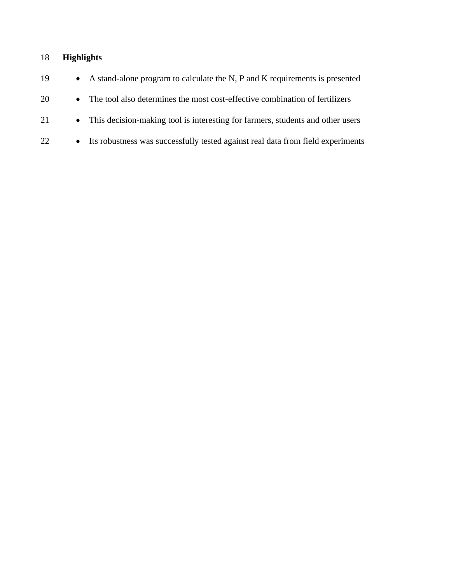# 18 **Highlights**

| 19 | • A stand-alone program to calculate the N, P and K requirements is presented     |
|----|-----------------------------------------------------------------------------------|
| 20 | • The tool also determines the most cost-effective combination of fertilizers     |
| 21 | • This decision-making tool is interesting for farmers, students and other users  |
| 22 | • Its robustness was successfully tested against real data from field experiments |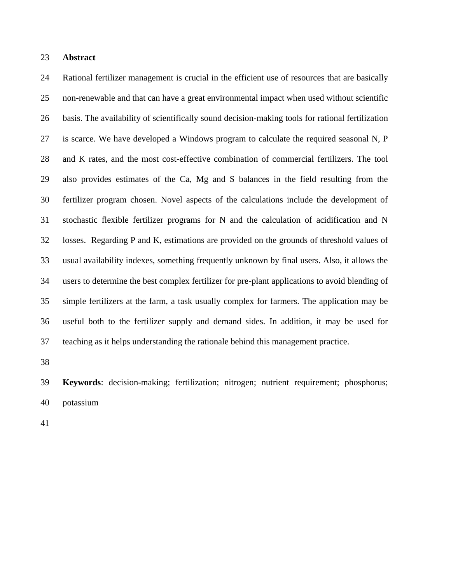# **Abstract**

 Rational fertilizer management is crucial in the efficient use of resources that are basically non-renewable and that can have a great environmental impact when used without scientific basis. The availability of scientifically sound decision-making tools for rational fertilization is scarce. We have developed a Windows program to calculate the required seasonal N, P and K rates, and the most cost-effective combination of commercial fertilizers. The tool also provides estimates of the Ca, Mg and S balances in the field resulting from the fertilizer program chosen. Novel aspects of the calculations include the development of stochastic flexible fertilizer programs for N and the calculation of acidification and N losses. Regarding P and K, estimations are provided on the grounds of threshold values of usual availability indexes, something frequently unknown by final users. Also, it allows the users to determine the best complex fertilizer for pre-plant applications to avoid blending of simple fertilizers at the farm, a task usually complex for farmers. The application may be useful both to the fertilizer supply and demand sides. In addition, it may be used for teaching as it helps understanding the rationale behind this management practice.

 **Keywords**: decision-making; fertilization; nitrogen; nutrient requirement; phosphorus; potassium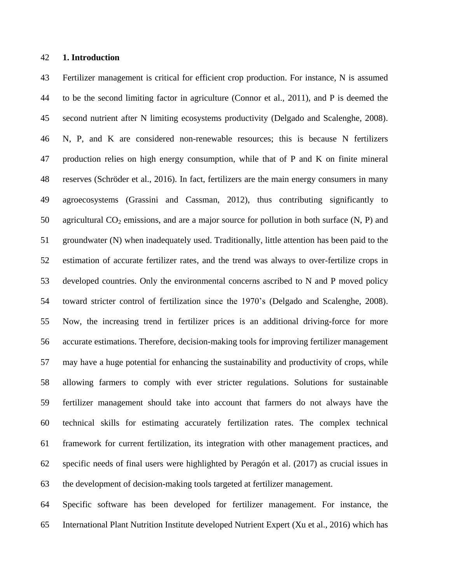# **1. Introduction**

 Fertilizer management is critical for efficient crop production. For instance, N is assumed to be the second limiting factor in agriculture (Connor et al., 2011), and P is deemed the second nutrient after N limiting ecosystems productivity (Delgado and Scalenghe, 2008). N, P, and K are considered non-renewable resources; this is because N fertilizers production relies on high energy consumption, while that of P and K on finite mineral reserves (Schröder et al., 2016). In fact, fertilizers are the main energy consumers in many agroecosystems (Grassini and Cassman, 2012), thus contributing significantly to 50 agricultural  $CO_2$  emissions, and are a major source for pollution in both surface  $(N, P)$  and groundwater (N) when inadequately used. Traditionally, little attention has been paid to the estimation of accurate fertilizer rates, and the trend was always to over-fertilize crops in developed countries. Only the environmental concerns ascribed to N and P moved policy toward stricter control of fertilization since the 1970's (Delgado and Scalenghe, 2008). Now, the increasing trend in fertilizer prices is an additional driving-force for more accurate estimations. Therefore, decision-making tools for improving fertilizer management may have a huge potential for enhancing the sustainability and productivity of crops, while allowing farmers to comply with ever stricter regulations. Solutions for sustainable fertilizer management should take into account that farmers do not always have the technical skills for estimating accurately fertilization rates. The complex technical framework for current fertilization, its integration with other management practices, and specific needs of final users were highlighted by Peragón et al. (2017) as crucial issues in the development of decision-making tools targeted at fertilizer management.

 Specific software has been developed for fertilizer management. For instance, the International Plant Nutrition Institute developed Nutrient Expert (Xu et al., 2016) which has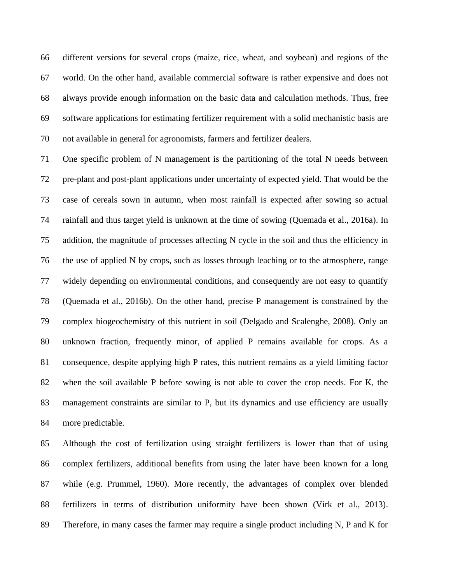different versions for several crops (maize, rice, wheat, and soybean) and regions of the world. On the other hand, available commercial software is rather expensive and does not always provide enough information on the basic data and calculation methods. Thus, free software applications for estimating fertilizer requirement with a solid mechanistic basis are not available in general for agronomists, farmers and fertilizer dealers.

 One specific problem of N management is the partitioning of the total N needs between pre-plant and post-plant applications under uncertainty of expected yield. That would be the case of cereals sown in autumn, when most rainfall is expected after sowing so actual rainfall and thus target yield is unknown at the time of sowing (Quemada et al., 2016a). In addition, the magnitude of processes affecting N cycle in the soil and thus the efficiency in the use of applied N by crops, such as losses through leaching or to the atmosphere, range widely depending on environmental conditions, and consequently are not easy to quantify (Quemada et al., 2016b). On the other hand, precise P management is constrained by the complex biogeochemistry of this nutrient in soil (Delgado and Scalenghe, 2008). Only an unknown fraction, frequently minor, of applied P remains available for crops. As a consequence, despite applying high P rates, this nutrient remains as a yield limiting factor when the soil available P before sowing is not able to cover the crop needs. For K, the management constraints are similar to P, but its dynamics and use efficiency are usually more predictable.

 Although the cost of fertilization using straight fertilizers is lower than that of using complex fertilizers, additional benefits from using the later have been known for a long while (e.g. Prummel, 1960). More recently, the advantages of complex over blended fertilizers in terms of distribution uniformity have been shown (Virk et al., 2013). Therefore, in many cases the farmer may require a single product including N, P and K for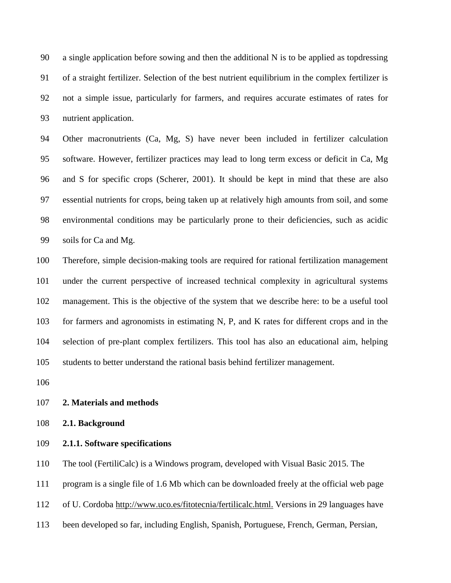a single application before sowing and then the additional N is to be applied as topdressing of a straight fertilizer. Selection of the best nutrient equilibrium in the complex fertilizer is not a simple issue, particularly for farmers, and requires accurate estimates of rates for nutrient application.

 Other macronutrients (Ca, Mg, S) have never been included in fertilizer calculation software. However, fertilizer practices may lead to long term excess or deficit in Ca, Mg and S for specific crops (Scherer, 2001). It should be kept in mind that these are also essential nutrients for crops, being taken up at relatively high amounts from soil, and some environmental conditions may be particularly prone to their deficiencies, such as acidic soils for Ca and Mg.

 Therefore, simple decision-making tools are required for rational fertilization management under the current perspective of increased technical complexity in agricultural systems management. This is the objective of the system that we describe here: to be a useful tool for farmers and agronomists in estimating N, P, and K rates for different crops and in the selection of pre-plant complex fertilizers. This tool has also an educational aim, helping students to better understand the rational basis behind fertilizer management.

# **2. Materials and methods**

**2.1. Background**

# **2.1.1. Software specifications**

The tool (FertiliCalc) is a Windows program, developed with Visual Basic 2015. The

program is a single file of 1.6 Mb which can be downloaded freely at the official web page

of U. Cordoba [http://www.uco.es/fitotecnia/fertilicalc.html.](http://www.uco.es/fitotecnia/fertilicalc.html) Versions in 29 languages have

been developed so far, including English, Spanish, Portuguese, French, German, Persian,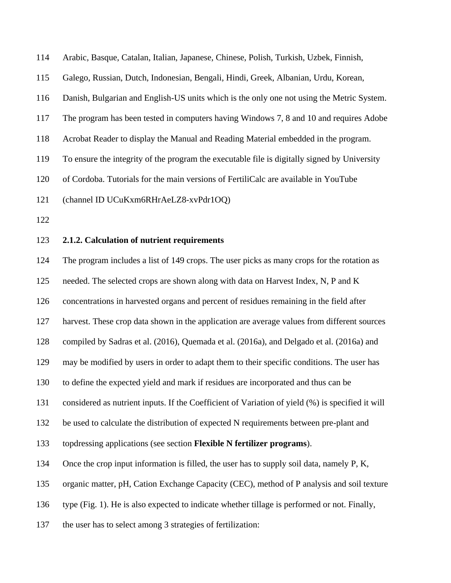Arabic, Basque, Catalan, Italian, Japanese, Chinese, Polish, Turkish, Uzbek, Finnish, Galego, Russian, Dutch, Indonesian, Bengali, Hindi, Greek, Albanian, Urdu, Korean, Danish, Bulgarian and English-US units which is the only one not using the Metric System. The program has been tested in computers having Windows 7, 8 and 10 and requires Adobe Acrobat Reader to display the Manual and Reading Material embedded in the program. To ensure the integrity of the program the executable file is digitally signed by University of Cordoba. Tutorials for the main versions of FertiliCalc are available in YouTube (channel ID UCuKxm6RHrAeLZ8-xvPdr1OQ) **2.1.2. Calculation of nutrient requirements** The program includes a list of 149 crops. The user picks as many crops for the rotation as needed. The selected crops are shown along with data on Harvest Index, N, P and K concentrations in harvested organs and percent of residues remaining in the field after harvest. These crop data shown in the application are average values from different sources compiled by Sadras et al. (2016), Quemada et al. (2016a), and Delgado et al. (2016a) and may be modified by users in order to adapt them to their specific conditions. The user has to define the expected yield and mark if residues are incorporated and thus can be considered as nutrient inputs. If the Coefficient of Variation of yield (%) is specified it will

be used to calculate the distribution of expected N requirements between pre-plant and

topdressing applications (see section **Flexible N fertilizer programs**).

134 Once the crop input information is filled, the user has to supply soil data, namely P, K,

organic matter, pH, Cation Exchange Capacity (CEC), method of P analysis and soil texture

type (Fig. 1). He is also expected to indicate whether tillage is performed or not. Finally,

the user has to select among 3 strategies of fertilization: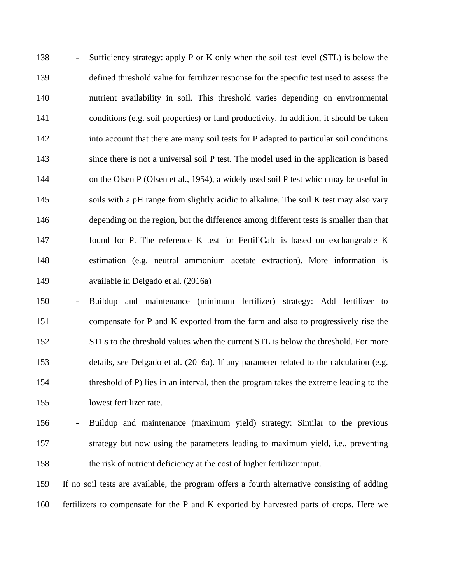- Sufficiency strategy: apply P or K only when the soil test level (STL) is below the defined threshold value for fertilizer response for the specific test used to assess the nutrient availability in soil. This threshold varies depending on environmental conditions (e.g. soil properties) or land productivity. In addition, it should be taken into account that there are many soil tests for P adapted to particular soil conditions since there is not a universal soil P test. The model used in the application is based 144 on the Olsen P (Olsen et al., 1954), a widely used soil P test which may be useful in soils with a pH range from slightly acidic to alkaline. The soil K test may also vary depending on the region, but the difference among different tests is smaller than that found for P. The reference K test for FertiliCalc is based on exchangeable K estimation (e.g. neutral ammonium acetate extraction). More information is available in Delgado et al. (2016a)

 - Buildup and maintenance (minimum fertilizer) strategy: Add fertilizer to compensate for P and K exported from the farm and also to progressively rise the STLs to the threshold values when the current STL is below the threshold. For more details, see Delgado et al. (2016a). If any parameter related to the calculation (e.g. threshold of P) lies in an interval, then the program takes the extreme leading to the lowest fertilizer rate.

 - Buildup and maintenance (maximum yield) strategy: Similar to the previous strategy but now using the parameters leading to maximum yield, i.e., preventing the risk of nutrient deficiency at the cost of higher fertilizer input.

 If no soil tests are available, the program offers a fourth alternative consisting of adding fertilizers to compensate for the P and K exported by harvested parts of crops. Here we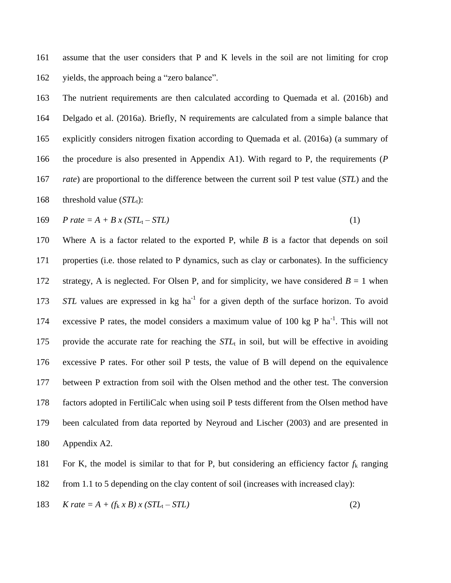assume that the user considers that P and K levels in the soil are not limiting for crop yields, the approach being a "zero balance".

 The nutrient requirements are then calculated according to Quemada et al. (2016b) and Delgado et al. (2016a). Briefly, N requirements are calculated from a simple balance that explicitly considers nitrogen fixation according to Quemada et al. (2016a) (a summary of the procedure is also presented in Appendix A1). With regard to P, the requirements (*P rate*) are proportional to the difference between the current soil P test value (*STL*) and the 168 threshold value  $(STL_t)$ :

$$
169 \quad P \ rate = A + B \ x \ (STL_t - STL) \tag{1}
$$

 Where A is a factor related to the exported P, while *B* is a factor that depends on soil properties (i.e. those related to P dynamics, such as clay or carbonates). In the sufficiency 172 strategy, A is neglected. For Olsen P, and for simplicity, we have considered  $B = 1$  when *STL* values are expressed in kg ha<sup>-1</sup> for a given depth of the surface horizon. To avoid 174 excessive P rates, the model considers a maximum value of 100 kg P ha<sup>-1</sup>. This will not 175 provide the accurate rate for reaching the  $STL<sub>t</sub>$  in soil, but will be effective in avoiding excessive P rates. For other soil P tests, the value of B will depend on the equivalence between P extraction from soil with the Olsen method and the other test. The conversion factors adopted in FertiliCalc when using soil P tests different from the Olsen method have been calculated from data reported by Neyroud and Lischer (2003) and are presented in Appendix A2.

181 For K, the model is similar to that for P, but considering an efficiency factor  $f_k$  ranging

from 1.1 to 5 depending on the clay content of soil (increases with increased clay):

183 *K rate* =  $A + (f_k \times B) \times (STL_t - STL)$  (2)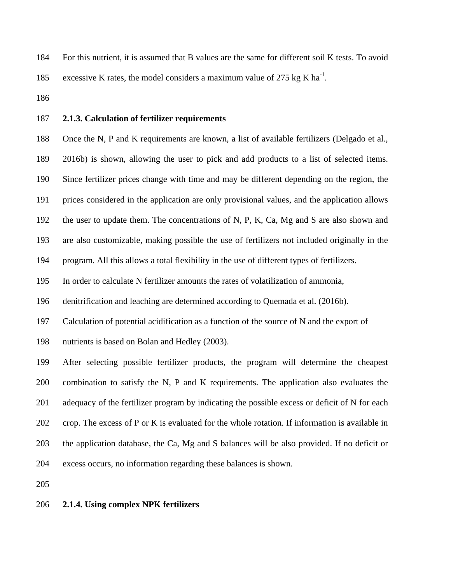For this nutrient, it is assumed that B values are the same for different soil K tests. To avoid

185 excessive K rates, the model considers a maximum value of 275 kg K ha<sup>-1</sup>.

# **2.1.3. Calculation of fertilizer requirements**

 Once the N, P and K requirements are known, a list of available fertilizers (Delgado et al., 2016b) is shown, allowing the user to pick and add products to a list of selected items. Since fertilizer prices change with time and may be different depending on the region, the

prices considered in the application are only provisional values, and the application allows

the user to update them. The concentrations of N, P, K, Ca, Mg and S are also shown and

are also customizable, making possible the use of fertilizers not included originally in the

program. All this allows a total flexibility in the use of different types of fertilizers.

In order to calculate N fertilizer amounts the rates of volatilization of ammonia,

denitrification and leaching are determined according to Quemada et al. (2016b).

Calculation of potential acidification as a function of the source of N and the export of

nutrients is based on Bolan and Hedley (2003).

 After selecting possible fertilizer products, the program will determine the cheapest combination to satisfy the N, P and K requirements. The application also evaluates the adequacy of the fertilizer program by indicating the possible excess or deficit of N for each crop. The excess of P or K is evaluated for the whole rotation. If information is available in the application database, the Ca, Mg and S balances will be also provided. If no deficit or excess occurs, no information regarding these balances is shown.

# **2.1.4. Using complex NPK fertilizers**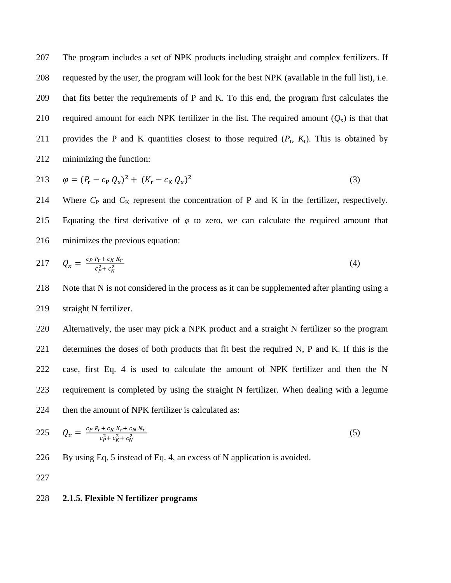The program includes a set of NPK products including straight and complex fertilizers. If requested by the user, the program will look for the best NPK (available in the full list), i.e. that fits better the requirements of P and K. To this end, the program first calculates the 210 required amount for each NPK fertilizer in the list. The required amount  $(Q_x)$  is that that 211 provides the P and K quantities closest to those required  $(P_r, K_r)$ . This is obtained by minimizing the function:

213 
$$
\varphi = (P_r - c_P Q_x)^2 + (K_r - c_K Q_x)^2
$$
 (3)

214 Where *C*<sub>P</sub> and *C*<sub>K</sub> represent the concentration of P and K in the fertilizer, respectively. Equating the first derivative of *φ* to zero, we can calculate the required amount that minimizes the previous equation:

$$
217 \tQ_x = \frac{c_P P_r + c_K K_r}{c_P^2 + c_K^2} \t\t(4)
$$

 Note that N is not considered in the process as it can be supplemented after planting using a straight N fertilizer.

 Alternatively, the user may pick a NPK product and a straight N fertilizer so the program determines the doses of both products that fit best the required N, P and K. If this is the case, first Eq. 4 is used to calculate the amount of NPK fertilizer and then the N requirement is completed by using the straight N fertilizer. When dealing with a legume 224 then the amount of NPK fertilizer is calculated as:

225 
$$
Q_x = \frac{c_P P_r + c_K K_r + c_N N_r}{c_P^2 + c_K^2 + c_N^2}
$$
 (5)

By using Eq. 5 instead of Eq. 4, an excess of N application is avoided.

# **2.1.5. Flexible N fertilizer programs**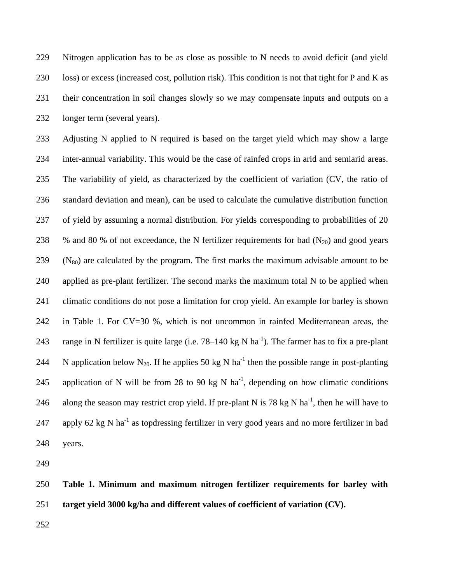Nitrogen application has to be as close as possible to N needs to avoid deficit (and yield loss) or excess (increased cost, pollution risk). This condition is not that tight for P and K as their concentration in soil changes slowly so we may compensate inputs and outputs on a longer term (several years).

 Adjusting N applied to N required is based on the target yield which may show a large inter-annual variability. This would be the case of rainfed crops in arid and semiarid areas. The variability of yield, as characterized by the coefficient of variation (CV, the ratio of standard deviation and mean), can be used to calculate the cumulative distribution function of yield by assuming a normal distribution. For yields corresponding to probabilities of 20 238 % and 80 % of not exceedance, the N fertilizer requirements for bad  $(N_{20})$  and good years (N<sub>80</sub>) are calculated by the program. The first marks the maximum advisable amount to be applied as pre-plant fertilizer. The second marks the maximum total N to be applied when climatic conditions do not pose a limitation for crop yield. An example for barley is shown in Table 1. For CV=30 %, which is not uncommon in rainfed Mediterranean areas, the 243 range in N fertilizer is quite large (i.e.  $78-140 \text{ kg N} \text{ ha}^{-1}$ ). The farmer has to fix a pre-plant 244 N application below N<sub>20</sub>. If he applies 50 kg N ha<sup>-1</sup> then the possible range in post-planting 245 application of N will be from 28 to 90 kg N ha<sup>-1</sup>, depending on how climatic conditions 246 along the season may restrict crop yield. If pre-plant N is 78 kg N ha<sup>-1</sup>, then he will have to 247 apply 62 kg N ha<sup>-1</sup> as topdressing fertilizer in very good years and no more fertilizer in bad years.

 **Table 1. Minimum and maximum nitrogen fertilizer requirements for barley with target yield 3000 kg/ha and different values of coefficient of variation (CV).**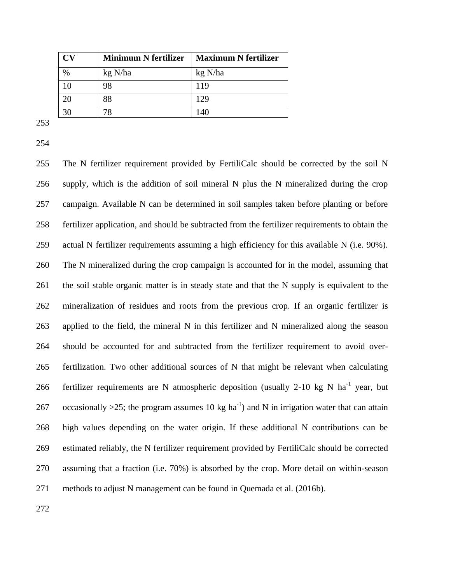|                | <b>Minimum N fertilizer</b> | <b>Maximum N fertilizer</b> |
|----------------|-----------------------------|-----------------------------|
| $\%$           | kg N/ha                     | kg N/ha                     |
|                | 98                          | 119                         |
| 20             | 88                          | 129                         |
| 3 <sup>c</sup> |                             | 140                         |

 The N fertilizer requirement provided by FertiliCalc should be corrected by the soil N supply, which is the addition of soil mineral N plus the N mineralized during the crop campaign. Available N can be determined in soil samples taken before planting or before fertilizer application, and should be subtracted from the fertilizer requirements to obtain the actual N fertilizer requirements assuming a high efficiency for this available N (i.e. 90%). The N mineralized during the crop campaign is accounted for in the model, assuming that the soil stable organic matter is in steady state and that the N supply is equivalent to the mineralization of residues and roots from the previous crop. If an organic fertilizer is applied to the field, the mineral N in this fertilizer and N mineralized along the season should be accounted for and subtracted from the fertilizer requirement to avoid over- fertilization. Two other additional sources of N that might be relevant when calculating 266 fertilizer requirements are N atmospheric deposition (usually 2-10 kg N ha<sup>-1</sup> year, but 267 occasionally >25; the program assumes 10 kg ha<sup>-1</sup>) and N in irrigation water that can attain high values depending on the water origin. If these additional N contributions can be estimated reliably, the N fertilizer requirement provided by FertiliCalc should be corrected assuming that a fraction (i.e. 70%) is absorbed by the crop. More detail on within-season methods to adjust N management can be found in Quemada et al. (2016b).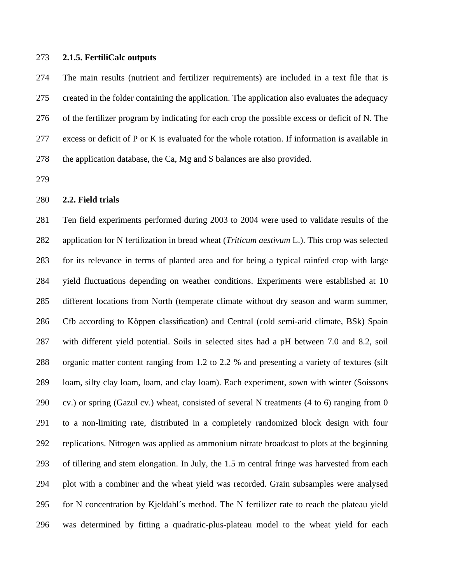# **2.1.5. FertiliCalc outputs**

 The main results (nutrient and fertilizer requirements) are included in a text file that is created in the folder containing the application. The application also evaluates the adequacy of the fertilizer program by indicating for each crop the possible excess or deficit of N. The excess or deficit of P or K is evaluated for the whole rotation. If information is available in the application database, the Ca, Mg and S balances are also provided.

# **2.2. Field trials**

 Ten field experiments performed during 2003 to 2004 were used to validate results of the application for N fertilization in bread wheat (*Triticum aestivum* L.). This crop was selected for its relevance in terms of planted area and for being a typical rainfed crop with large yield fluctuations depending on weather conditions. Experiments were established at 10 different locations from North (temperate climate without dry season and warm summer, Cfb according to Köppen classification) and Central (cold semi-arid climate, BSk) Spain with different yield potential. Soils in selected sites had a pH between 7.0 and 8.2, soil organic matter content ranging from 1.2 to 2.2 % and presenting a variety of textures (silt loam, silty clay loam, loam, and clay loam). Each experiment, sown with winter (Soissons 290 cv.) or spring (Gazul cv.) wheat, consisted of several N treatments (4 to 6) ranging from 0 to a non-limiting rate, distributed in a completely randomized block design with four replications. Nitrogen was applied as ammonium nitrate broadcast to plots at the beginning of tillering and stem elongation. In July, the 1.5 m central fringe was harvested from each plot with a combiner and the wheat yield was recorded. Grain subsamples were analysed for N concentration by Kjeldahl´s method. The N fertilizer rate to reach the plateau yield was determined by fitting a quadratic-plus-plateau model to the wheat yield for each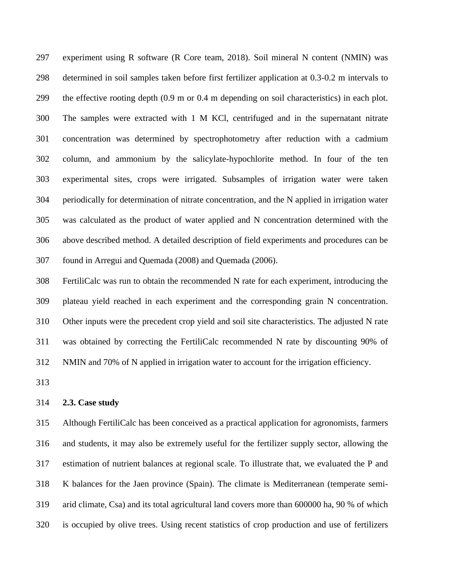experiment using R software (R Core team, 2018). Soil mineral N content (NMIN) was determined in soil samples taken before first fertilizer application at 0.3-0.2 m intervals to the effective rooting depth (0.9 m or 0.4 m depending on soil characteristics) in each plot. The samples were extracted with 1 M KCl, centrifuged and in the supernatant nitrate concentration was determined by spectrophotometry after reduction with a cadmium column, and ammonium by the salicylate-hypochlorite method. In four of the ten experimental sites, crops were irrigated. Subsamples of irrigation water were taken periodically for determination of nitrate concentration, and the N applied in irrigation water was calculated as the product of water applied and N concentration determined with the above described method. A detailed description of field experiments and procedures can be found in Arregui and Quemada (2008) and Quemada (2006).

 FertiliCalc was run to obtain the recommended N rate for each experiment, introducing the plateau yield reached in each experiment and the corresponding grain N concentration. Other inputs were the precedent crop yield and soil site characteristics. The adjusted N rate was obtained by correcting the FertiliCalc recommended N rate by discounting 90% of NMIN and 70% of N applied in irrigation water to account for the irrigation efficiency.

## **2.3. Case study**

 Although FertiliCalc has been conceived as a practical application for agronomists, farmers and students, it may also be extremely useful for the fertilizer supply sector, allowing the estimation of nutrient balances at regional scale. To illustrate that, we evaluated the P and K balances for the Jaen province (Spain). The climate is Mediterranean (temperate semi- arid climate, Csa) and its total agricultural land covers more than 600000 ha, 90 % of which is occupied by olive trees. Using recent statistics of crop production and use of fertilizers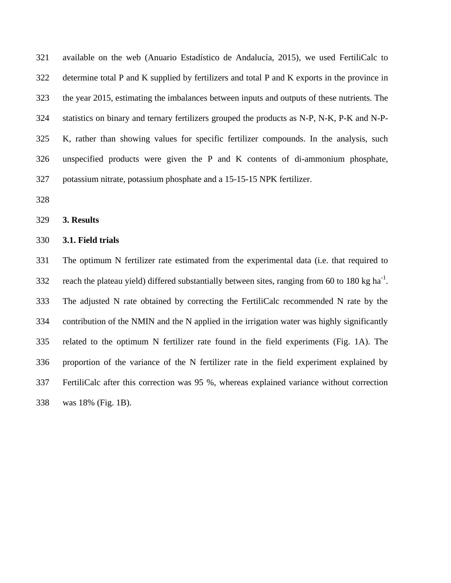available on the web (Anuario Estadístico de Andalucía, 2015), we used FertiliCalc to determine total P and K supplied by fertilizers and total P and K exports in the province in the year 2015, estimating the imbalances between inputs and outputs of these nutrients. The statistics on binary and ternary fertilizers grouped the products as N-P, N-K, P-K and N-P- K, rather than showing values for specific fertilizer compounds. In the analysis, such unspecified products were given the P and K contents of di-ammonium phosphate, potassium nitrate, potassium phosphate and a 15-15-15 NPK fertilizer.

#### **3. Results**

## **3.1. Field trials**

 The optimum N fertilizer rate estimated from the experimental data (i.e. that required to 332 reach the plateau yield) differed substantially between sites, ranging from 60 to 180 kg ha<sup>-1</sup>. The adjusted N rate obtained by correcting the FertiliCalc recommended N rate by the contribution of the NMIN and the N applied in the irrigation water was highly significantly related to the optimum N fertilizer rate found in the field experiments (Fig. 1A). The proportion of the variance of the N fertilizer rate in the field experiment explained by FertiliCalc after this correction was 95 %, whereas explained variance without correction was 18% (Fig. 1B).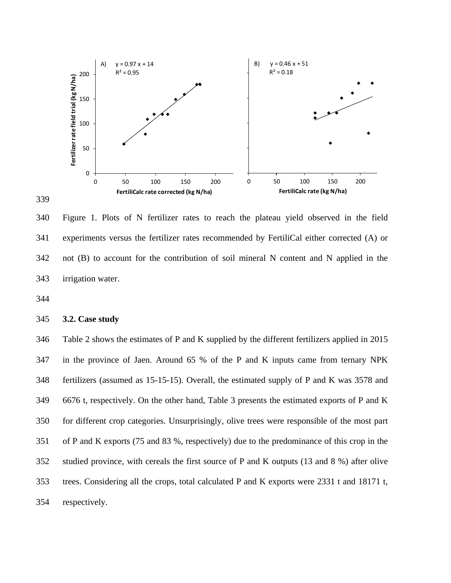

 Figure 1. Plots of N fertilizer rates to reach the plateau yield observed in the field experiments versus the fertilizer rates recommended by FertiliCal either corrected (A) or not (B) to account for the contribution of soil mineral N content and N applied in the irrigation water.

# **3.2. Case study**

 Table 2 shows the estimates of P and K supplied by the different fertilizers applied in 2015 in the province of Jaen. Around 65 % of the P and K inputs came from ternary NPK fertilizers (assumed as 15-15-15). Overall, the estimated supply of P and K was 3578 and 6676 t, respectively. On the other hand, Table 3 presents the estimated exports of P and K for different crop categories. Unsurprisingly, olive trees were responsible of the most part of P and K exports (75 and 83 %, respectively) due to the predominance of this crop in the studied province, with cereals the first source of P and K outputs (13 and 8 %) after olive trees. Considering all the crops, total calculated P and K exports were 2331 t and 18171 t, respectively.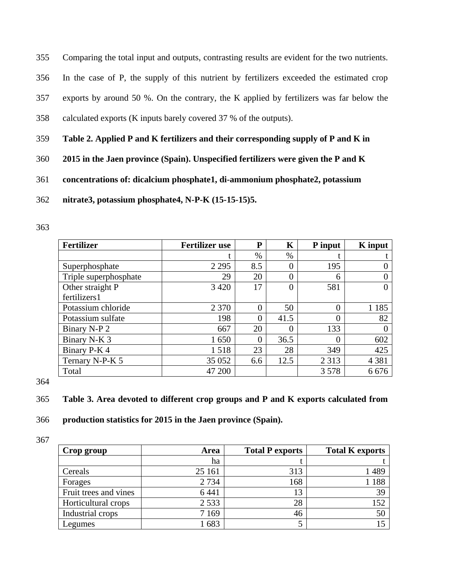355 Comparing the total input and outputs, contrasting results are evident for the two nutrients.

- 356 In the case of P, the supply of this nutrient by fertilizers exceeded the estimated crop
- 357 exports by around 50 %. On the contrary, the K applied by fertilizers was far below the
- 358 calculated exports (K inputs barely covered 37 % of the outputs).
- 359 **Table 2. Applied P and K fertilizers and their corresponding supply of P and K in**
- 360 **2015 in the Jaen province (Spain). Unspecified fertilizers were given the P and K**
- 361 **concentrations of: dicalcium phosphate1, di-ammonium phosphate2, potassium**
- 362 **nitrate3, potassium phosphate4, N-P-K (15-15-15)5.**
- 363

| <b>Fertilizer</b>     | <b>Fertilizer use</b> | P        | K              | P input  | <b>K</b> input |
|-----------------------|-----------------------|----------|----------------|----------|----------------|
|                       |                       | $\%$     | $\%$           |          |                |
| Superphosphate        | 2 2 9 5               | 8.5      | $\theta$       | 195      |                |
| Triple superphosphate | 29                    | 20       | 0              | 6        |                |
| Other straight P      | 3 4 2 0               | 17       | $\overline{0}$ | 581      |                |
| fertilizers1          |                       |          |                |          |                |
| Potassium chloride    | 2 3 7 0               | $\Omega$ | 50             | $\Omega$ | 1 1 8 5        |
| Potassium sulfate     | 198                   | $\Omega$ | 41.5           | 0        | 82             |
| Binary N-P 2          | 667                   | 20       | 0              | 133      |                |
| Binary N-K 3          | 1650                  | 0        | 36.5           | 0        | 602            |
| Binary P-K 4          | 1518                  | 23       | 28             | 349      | 425            |
| Ternary N-P-K 5       | 35 052                | 6.6      | 12.5           | 2 3 1 3  | 4 3 8 1        |
| Total                 | 47 200                |          |                | 3578     | 6676           |

364

- 365 **Table 3. Area devoted to different crop groups and P and K exports calculated from**
- 366 **production statistics for 2015 in the Jaen province (Spain).**

| Crop group            | Area    | <b>Total P exports</b> | <b>Total K exports</b> |
|-----------------------|---------|------------------------|------------------------|
|                       | ha      |                        |                        |
| Cereals               | 25 161  | 313                    | 1489                   |
| Forages               | 2 7 3 4 | 168                    | 1 188                  |
| Fruit trees and vines | 6 4 4 1 | 13                     | 39                     |
| Horticultural crops   | 2 5 3 3 | 28                     | 152                    |
| Industrial crops      | 7 1 6 9 | 46                     | 50                     |
| Legumes               | 1683    |                        |                        |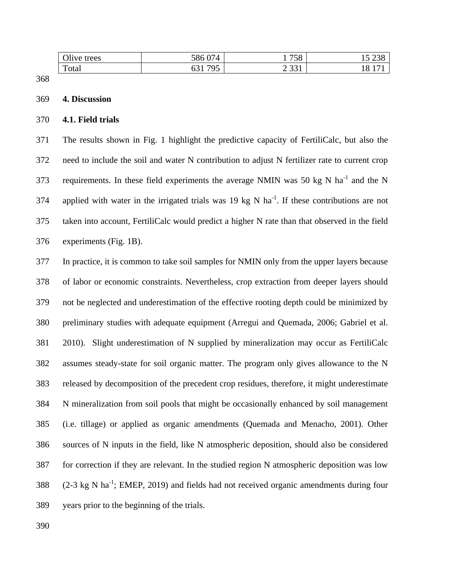| Olive trees | 586 074                                 | 758                                | ب رے<br>⊥ ~    |
|-------------|-----------------------------------------|------------------------------------|----------------|
| Total       | 705<br>າລາ<br>n ∡<br>UJ 1<br><u>. .</u> | $\Omega$ $\Omega$ $\Omega$<br>2.51 | $\Omega$<br>ıυ |

#### **4. Discussion**

## **4.1. Field trials**

 The results shown in Fig. 1 highlight the predictive capacity of FertiliCalc, but also the need to include the soil and water N contribution to adjust N fertilizer rate to current crop 373 requirements. In these field experiments the average NMIN was 50 kg N ha<sup>-1</sup> and the N 374 applied with water in the irrigated trials was 19 kg N ha<sup>-1</sup>. If these contributions are not taken into account, FertiliCalc would predict a higher N rate than that observed in the field experiments (Fig. 1B).

 In practice, it is common to take soil samples for NMIN only from the upper layers because of labor or economic constraints. Nevertheless, crop extraction from deeper layers should not be neglected and underestimation of the effective rooting depth could be minimized by preliminary studies with adequate equipment (Arregui and Quemada, 2006; Gabriel et al. 2010). Slight underestimation of N supplied by mineralization may occur as FertiliCalc assumes steady-state for soil organic matter. The program only gives allowance to the N released by decomposition of the precedent crop residues, therefore, it might underestimate N mineralization from soil pools that might be occasionally enhanced by soil management (i.e. tillage) or applied as organic amendments (Quemada and Menacho, 2001). Other sources of N inputs in the field, like N atmospheric deposition, should also be considered for correction if they are relevant. In the studied region N atmospheric deposition was low  $(2-3 \text{ kg N} \text{ ha}^{-1})$ ; EMEP, 2019) and fields had not received organic amendments during four years prior to the beginning of the trials.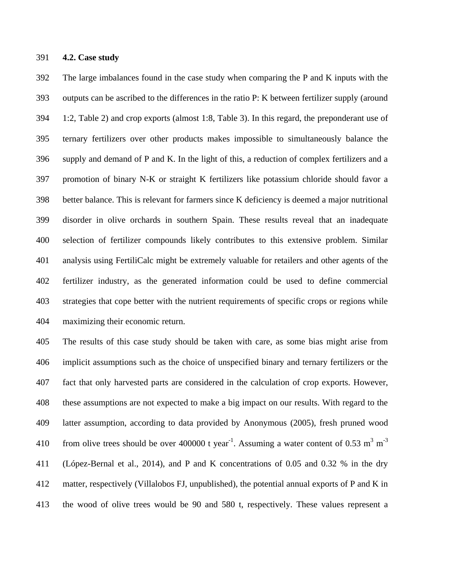# **4.2. Case study**

 The large imbalances found in the case study when comparing the P and K inputs with the outputs can be ascribed to the differences in the ratio P: K between fertilizer supply (around 1:2, Table 2) and crop exports (almost 1:8, Table 3). In this regard, the preponderant use of ternary fertilizers over other products makes impossible to simultaneously balance the supply and demand of P and K. In the light of this, a reduction of complex fertilizers and a promotion of binary N-K or straight K fertilizers like potassium chloride should favor a better balance. This is relevant for farmers since K deficiency is deemed a major nutritional disorder in olive orchards in southern Spain. These results reveal that an inadequate selection of fertilizer compounds likely contributes to this extensive problem. Similar analysis using FertiliCalc might be extremely valuable for retailers and other agents of the fertilizer industry, as the generated information could be used to define commercial strategies that cope better with the nutrient requirements of specific crops or regions while maximizing their economic return.

 The results of this case study should be taken with care, as some bias might arise from implicit assumptions such as the choice of unspecified binary and ternary fertilizers or the fact that only harvested parts are considered in the calculation of crop exports. However, these assumptions are not expected to make a big impact on our results. With regard to the latter assumption, according to data provided by Anonymous (2005), fresh pruned wood from olive trees should be over 400000 t year<sup>-1</sup>. Assuming a water content of 0.53 m<sup>3</sup> m<sup>-3</sup> (López-Bernal et al., 2014), and P and K concentrations of 0.05 and 0.32 % in the dry matter, respectively (Villalobos FJ, unpublished), the potential annual exports of P and K in the wood of olive trees would be 90 and 580 t, respectively. These values represent a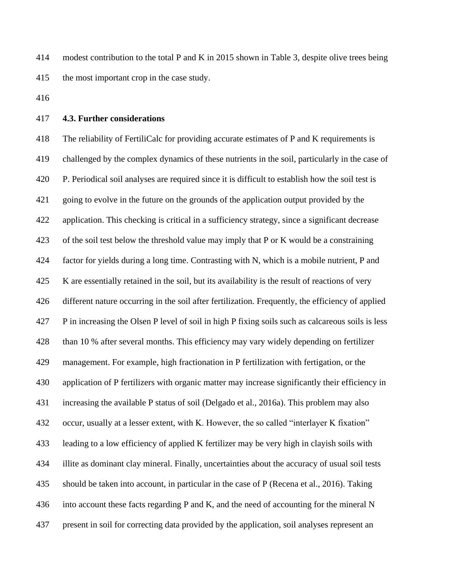modest contribution to the total P and K in 2015 shown in Table 3, despite olive trees being the most important crop in the case study.

# **4.3. Further considerations**

 The reliability of FertiliCalc for providing accurate estimates of P and K requirements is challenged by the complex dynamics of these nutrients in the soil, particularly in the case of P. Periodical soil analyses are required since it is difficult to establish how the soil test is going to evolve in the future on the grounds of the application output provided by the application. This checking is critical in a sufficiency strategy, since a significant decrease of the soil test below the threshold value may imply that P or K would be a constraining factor for yields during a long time. Contrasting with N, which is a mobile nutrient, P and K are essentially retained in the soil, but its availability is the result of reactions of very different nature occurring in the soil after fertilization. Frequently, the efficiency of applied P in increasing the Olsen P level of soil in high P fixing soils such as calcareous soils is less than 10 % after several months. This efficiency may vary widely depending on fertilizer management. For example, high fractionation in P fertilization with fertigation, or the application of P fertilizers with organic matter may increase significantly their efficiency in increasing the available P status of soil (Delgado et al., 2016a). This problem may also occur, usually at a lesser extent, with K. However, the so called "interlayer K fixation" leading to a low efficiency of applied K fertilizer may be very high in clayish soils with illite as dominant clay mineral. Finally, uncertainties about the accuracy of usual soil tests should be taken into account, in particular in the case of P (Recena et al., 2016). Taking into account these facts regarding P and K, and the need of accounting for the mineral N present in soil for correcting data provided by the application, soil analyses represent an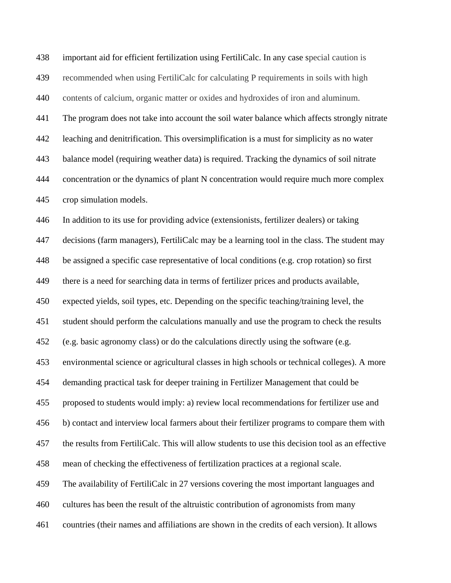| 438 | important aid for efficient fertilization using FertiliCalc. In any case special caution is      |
|-----|--------------------------------------------------------------------------------------------------|
| 439 | recommended when using FertiliCalc for calculating P requirements in soils with high             |
| 440 | contents of calcium, organic matter or oxides and hydroxides of iron and aluminum.               |
| 441 | The program does not take into account the soil water balance which affects strongly nitrate     |
| 442 | leaching and denitrification. This oversimplification is a must for simplicity as no water       |
| 443 | balance model (requiring weather data) is required. Tracking the dynamics of soil nitrate        |
| 444 | concentration or the dynamics of plant N concentration would require much more complex           |
| 445 | crop simulation models.                                                                          |
| 446 | In addition to its use for providing advice (extensionists, fertilizer dealers) or taking        |
| 447 | decisions (farm managers), FertiliCalc may be a learning tool in the class. The student may      |
| 448 | be assigned a specific case representative of local conditions (e.g. crop rotation) so first     |
| 449 | there is a need for searching data in terms of fertilizer prices and products available,         |
| 450 | expected yields, soil types, etc. Depending on the specific teaching/training level, the         |
| 451 | student should perform the calculations manually and use the program to check the results        |
| 452 | (e.g. basic agronomy class) or do the calculations directly using the software (e.g.             |
| 453 | environmental science or agricultural classes in high schools or technical colleges). A more     |
| 454 | demanding practical task for deeper training in Fertilizer Management that could be              |
| 455 | proposed to students would imply: a) review local recommendations for fertilizer use and         |
| 456 | b) contact and interview local farmers about their fertilizer programs to compare them with      |
| 457 | the results from FertiliCalc. This will allow students to use this decision tool as an effective |
| 458 | mean of checking the effectiveness of fertilization practices at a regional scale.               |
| 459 | The availability of FertiliCalc in 27 versions covering the most important languages and         |
| 460 | cultures has been the result of the altruistic contribution of agronomists from many             |
| 461 | countries (their names and affiliations are shown in the credits of each version). It allows     |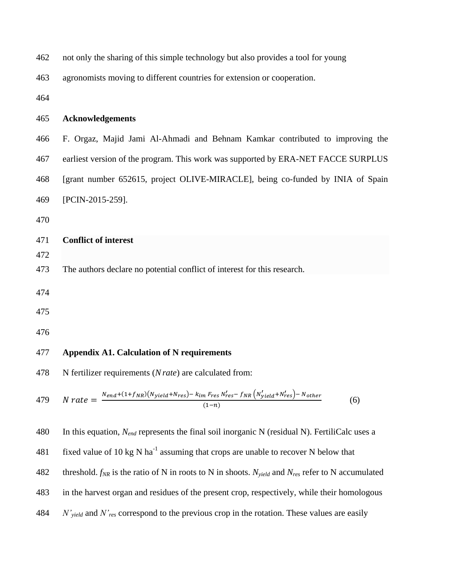| 462        | not only the sharing of this simple technology but also provides a tool for young                                                    |
|------------|--------------------------------------------------------------------------------------------------------------------------------------|
| 463        | agronomists moving to different countries for extension or cooperation.                                                              |
| 464        |                                                                                                                                      |
| 465        | <b>Acknowledgements</b>                                                                                                              |
| 466        | F. Orgaz, Majid Jami Al-Ahmadi and Behnam Kamkar contributed to improving the                                                        |
| 467        | earliest version of the program. This work was supported by ERA-NET FACCE SURPLUS                                                    |
| 468        | [grant number 652615, project OLIVE-MIRACLE], being co-funded by INIA of Spain                                                       |
| 469        | [PCIN-2015-259].                                                                                                                     |
| 470        |                                                                                                                                      |
| 471<br>472 | <b>Conflict of interest</b>                                                                                                          |
| 473        | The authors declare no potential conflict of interest for this research.                                                             |
| 474        |                                                                                                                                      |
| 475        |                                                                                                                                      |
| 476        |                                                                                                                                      |
| 477        | <b>Appendix A1. Calculation of N requirements</b>                                                                                    |
| 478        | N fertilizer requirements $(N \, rate)$ are calculated from:                                                                         |
| 479        | $N\ rate = \frac{N_{end}+(1+f_{NR})(N_{yield}+N_{res})-k_{im}\ F_{res}N'_{res}-f_{NR}(N'_{yield}+N'_{res})-N_{other}}{(1-n)}$<br>(6) |
| 480        | In this equation, $N_{end}$ represents the final soil inorganic N (residual N). FertiliCalc uses a                                   |

481 fixed value of 10 kg N ha<sup>-1</sup> assuming that crops are unable to recover N below that threshold. *fNR* is the ratio of N in roots to N in shoots. *Nyield* and *Nres* refer to N accumulated in the harvest organ and residues of the present crop, respectively, while their homologous *N'yield* and *N'res* correspond to the previous crop in the rotation. These values are easily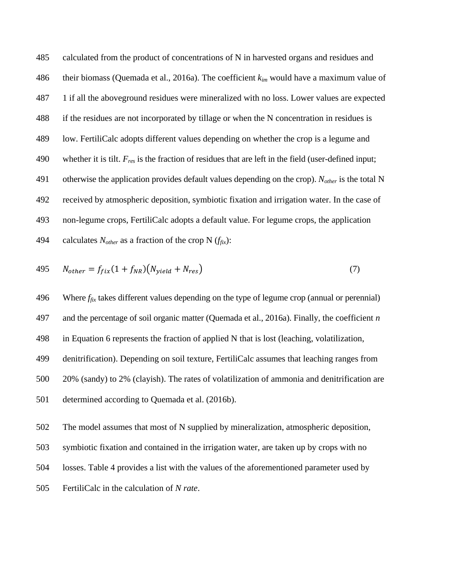calculated from the product of concentrations of N in harvested organs and residues and their biomass (Quemada et al., 2016a). The coefficient *kim* would have a maximum value of 1 if all the aboveground residues were mineralized with no loss. Lower values are expected if the residues are not incorporated by tillage or when the N concentration in residues is low. FertiliCalc adopts different values depending on whether the crop is a legume and whether it is tilt. *Fres* is the fraction of residues that are left in the field (user-defined input; otherwise the application provides default values depending on the crop). *Nother* is the total N received by atmospheric deposition, symbiotic fixation and irrigation water. In the case of non-legume crops, FertiliCalc adopts a default value. For legume crops, the application 494 calculates  $N_{other}$  as a fraction of the crop N  $(f_{fix})$ :

$$
495 \t N_{other} = f_{fix}(1 + f_{NR})(N_{yield} + N_{res})
$$
\n(7)

496 Where  $f_{fix}$  takes different values depending on the type of legume crop (annual or perennial) and the percentage of soil organic matter (Quemada et al., 2016a). Finally, the coefficient *n* in Equation 6 represents the fraction of applied N that is lost (leaching, volatilization, denitrification). Depending on soil texture, FertiliCalc assumes that leaching ranges from 20% (sandy) to 2% (clayish). The rates of volatilization of ammonia and denitrification are determined according to Quemada et al. (2016b).

- The model assumes that most of N supplied by mineralization, atmospheric deposition,
- symbiotic fixation and contained in the irrigation water, are taken up by crops with no
- losses. Table 4 provides a list with the values of the aforementioned parameter used by
- FertiliCalc in the calculation of *N rate*.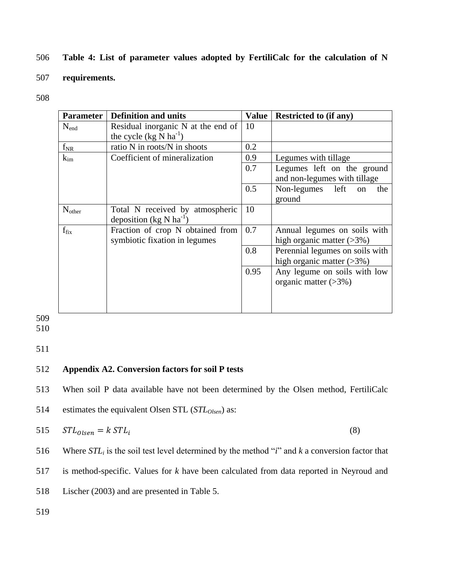# 506 **Table 4: List of parameter values adopted by FertiliCalc for the calculation of N**

# 507 **requirements.**

508

| <b>Parameter</b> | <b>Definition and units</b>                                              | Value | <b>Restricted to (if any)</b>                                  |
|------------------|--------------------------------------------------------------------------|-------|----------------------------------------------------------------|
| $N_{end}$        | Residual inorganic N at the end of<br>the cycle $(kg\bar{N}ha^{-1})$     | 10    |                                                                |
| $f_{NR}$         | ratio N in roots/N in shoots                                             | 0.2   |                                                                |
| $k_{\text{im}}$  | Coefficient of mineralization                                            | 0.9   | Legumes with tillage                                           |
|                  |                                                                          | 0.7   | Legumes left on the ground<br>and non-legumes with tillage     |
|                  |                                                                          | 0.5   | Non-legumes left<br>the<br>on<br>ground                        |
| $N_{other}$      | Total N received by atmospheric<br>deposition (kg $N$ ha <sup>-1</sup> ) | 10    |                                                                |
| $f_{fix}$        | Fraction of crop N obtained from<br>symbiotic fixation in legumes        | 0.7   | Annual legumes on soils with<br>high organic matter $(>3\%)$   |
|                  |                                                                          | 0.8   | Perennial legumes on soils with<br>high organic matter $(>3%)$ |
|                  |                                                                          | 0.95  | Any legume on soils with low<br>organic matter $(>\!\!3\%)$    |

509

510

511

# 512 **Appendix A2. Conversion factors for soil P tests**

513 When soil P data available have not been determined by the Olsen method, FertiliCalc

514 estimates the equivalent Olsen STL (*STLOlsen*) as:

$$
515 \tSTL_{Olsen} = k \, STL_i \tag{8}
$$

516 Where *STL<sup>i</sup>* is the soil test level determined by the method "*i*" and *k* a conversion factor that

517 is method-specific. Values for *k* have been calculated from data reported in Neyroud and

518 Lischer (2003) and are presented in Table 5.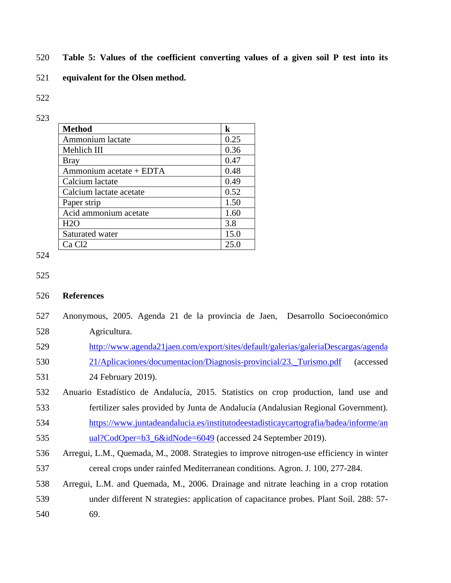- **Table 5: Values of the coefficient converting values of a given soil P test into its**
- **equivalent for the Olsen method.**
- 

| <b>Method</b>           | k    |
|-------------------------|------|
| Ammonium lactate        | 0.25 |
| Mehlich III             | 0.36 |
| <b>Bray</b>             | 0.47 |
| Ammonium acetate + EDTA | 0.48 |
| Calcium lactate         | 0.49 |
| Calcium lactate acetate | 0.52 |
| Paper strip             | 1.50 |
| Acid ammonium acetate   | 1.60 |
| H2O                     | 3.8  |
| Saturated water         | 15.0 |
| Ca Cl <sub>2</sub>      |      |

```
525
```
# **References**

- Anonymous, 2005. Agenda 21 de la provincia de Jaen, Desarrollo Socioeconómico Agricultura.
- [http://www.agenda21jaen.com/export/sites/default/galerias/galeriaDescargas/agenda](http://www.agenda21jaen.com/export/sites/default/galerias/galeriaDescargas/agenda21/Aplicaciones/documentacion/Diagnosis-provincial/23._Turismo.pdf)
- [21/Aplicaciones/documentacion/Diagnosis-provincial/23.\\_Turismo.pdf](http://www.agenda21jaen.com/export/sites/default/galerias/galeriaDescargas/agenda21/Aplicaciones/documentacion/Diagnosis-provincial/23._Turismo.pdf) (accessed
- 24 February 2019).
- Anuario Estadístico de Andalucía, 2015. Statistics on crop production, land use and fertilizer sales provided by Junta de Andalucía (Andalusian Regional Government).
- [https://www.juntadeandalucia.es/institutodeestadisticaycartografia/badea/informe/an](https://www.juntadeandalucia.es/institutodeestadisticaycartografia/badea/informe/anual?CodOper=b3_6&idNode=6049) [ual?CodOper=b3\\_6&idNode=6049](https://www.juntadeandalucia.es/institutodeestadisticaycartografia/badea/informe/anual?CodOper=b3_6&idNode=6049) (accessed 24 September 2019).
- Arregui, L.M., Quemada, M., 2008. Strategies to improve nitrogen-use efficiency in winter cereal crops under rainfed Mediterranean conditions. Agron. J. 100, 277-284.
- Arregui, L.M. and Quemada, M., 2006. Drainage and nitrate leaching in a crop rotation under different N strategies: application of capacitance probes. Plant Soil. 288: 57- 69.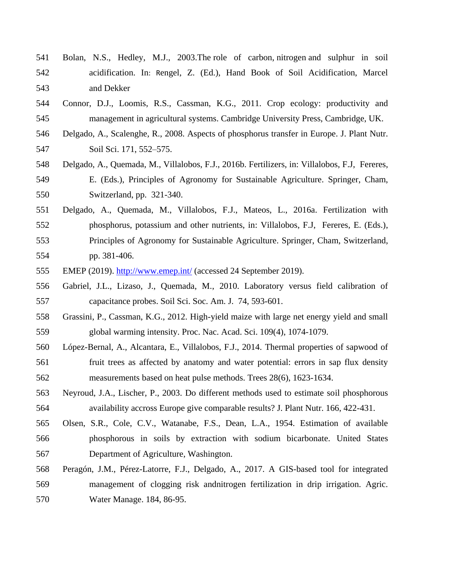- Bolan, N.S., Hedley, M.J., 2003.The role of carbon, nitrogen and sulphur in soil acidification. In: Rengel, Z. (Ed.), Hand Book of Soil Acidification, Marcel and Dekker
- Connor, D.J., Loomis, R.S., Cassman, K.G., 2011. Crop ecology: productivity and management in agricultural systems. Cambridge University Press, Cambridge, UK.
- Delgado, A., Scalenghe, R., 2008. Aspects of phosphorus transfer in Europe. J. Plant Nutr. Soil Sci. 171, 552–575.
- Delgado, A., Quemada, M., Villalobos, F.J., 2016b. Fertilizers, in: Villalobos, F.J, Fereres, E. (Eds.), Principles of Agronomy for Sustainable Agriculture. Springer, Cham, Switzerland, pp. 321-340.
- Delgado, A., Quemada, M., Villalobos, F.J., Mateos, L., 2016a. Fertilization with phosphorus, potassium and other nutrients, in: Villalobos, F.J, Fereres, E. (Eds.), Principles of Agronomy for Sustainable Agriculture. Springer, Cham, Switzerland, pp. 381-406.
- 555 EMEP (2019).<http://www.emep.int/> (accessed 24 September 2019).
- Gabriel, J.L., Lizaso, J., Quemada, M., 2010. Laboratory versus field calibration of capacitance probes. Soil Sci. Soc. Am. J. 74, 593-601.
- Grassini, P., Cassman, K.G., 2012. High-yield maize with large net energy yield and small global warming intensity. Proc. Nac. Acad. Sci. 109(4), 1074-1079.
- López-Bernal, A., Alcantara, E., Villalobos, F.J., 2014. Thermal properties of sapwood of fruit trees as affected by anatomy and water potential: errors in sap flux density measurements based on heat pulse methods. Trees 28(6), 1623-1634.
- Neyroud, J.A., Lischer, P., 2003. Do different methods used to estimate soil phosphorous availability accross Europe give comparable results? J. Plant Nutr. 166, 422-431.
- Olsen, S.R., Cole, C.V., Watanabe, F.S., Dean, L.A., 1954. Estimation of available phosphorous in soils by extraction with sodium bicarbonate. United States Department of Agriculture, Washington.
- Peragón, J.M., Pérez-Latorre, F.J., Delgado, A., 2017. A GIS-based tool for integrated management of clogging risk andnitrogen fertilization in drip irrigation. Agric. Water Manage. 184, 86-95.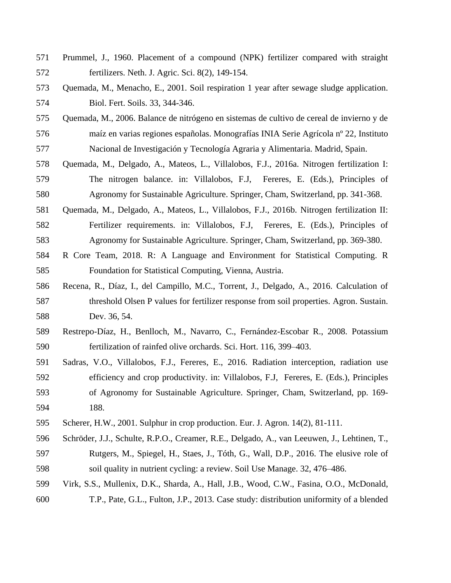- Prummel, J., 1960. Placement of a compound (NPK) fertilizer compared with straight fertilizers. Neth. J. Agric. Sci. 8(2), 149-154.
- Quemada, M., Menacho, E., 2001. Soil respiration 1 year after sewage sludge application. Biol. Fert. Soils. 33, 344-346.
- Quemada, M., 2006. Balance de nitrógeno en sistemas de cultivo de cereal de invierno y de maíz en varias regiones españolas. Monografías INIA Serie Agrícola nº 22, Instituto Nacional de Investigación y Tecnología Agraria y Alimentaria. Madrid, Spain.
- Quemada, M., Delgado, A., Mateos, L., Villalobos, F.J., 2016a. Nitrogen fertilization I: The nitrogen balance. in: Villalobos, F.J, Fereres, E. (Eds.), Principles of Agronomy for Sustainable Agriculture. Springer, Cham, Switzerland, pp. 341-368.
- Quemada, M., Delgado, A., Mateos, L., Villalobos, F.J., 2016b. Nitrogen fertilization II: Fertilizer requirements. in: Villalobos, F.J, Fereres, E. (Eds.), Principles of Agronomy for Sustainable Agriculture. Springer, Cham, Switzerland, pp. 369-380.
- R Core Team, 2018. R: A Language and Environment for Statistical Computing. R Foundation for Statistical Computing, Vienna, Austria.
- Recena, R., Díaz, I., del Campillo, M.C., Torrent, J., Delgado, A., 2016. Calculation of threshold Olsen P values for fertilizer response from soil properties. Agron. Sustain. Dev. 36, 54.
- Restrepo-Díaz, H., Benlloch, M., Navarro, C., Fernández-Escobar R., 2008. Potassium fertilization of rainfed olive orchards. Sci. Hort. 116, 399–403.
- Sadras, V.O., Villalobos, F.J., Fereres, E., 2016. Radiation interception, radiation use efficiency and crop productivity. in: Villalobos, F.J, Fereres, E. (Eds.), Principles of Agronomy for Sustainable Agriculture. Springer, Cham, Switzerland, pp. 169- 188.
- Scherer, H.W., 2001. Sulphur in crop production. Eur. J. Agron. 14(2), 81-111.
- Schröder, J.J., Schulte, R.P.O., Creamer, R.E., Delgado, A., van Leeuwen, J., Lehtinen, T., Rutgers, M., Spiegel, H., Staes, J., Tóth, G., Wall, D.P., 2016. The elusive role of soil quality in nutrient cycling: a review. Soil Use Manage. 32, 476–486.
- Virk, S.S., Mullenix, D.K., Sharda, A., Hall, J.B., Wood, C.W., Fasina, O.O., McDonald, T.P., Pate, G.L., Fulton, J.P., 2013. Case study: distribution uniformity of a blended